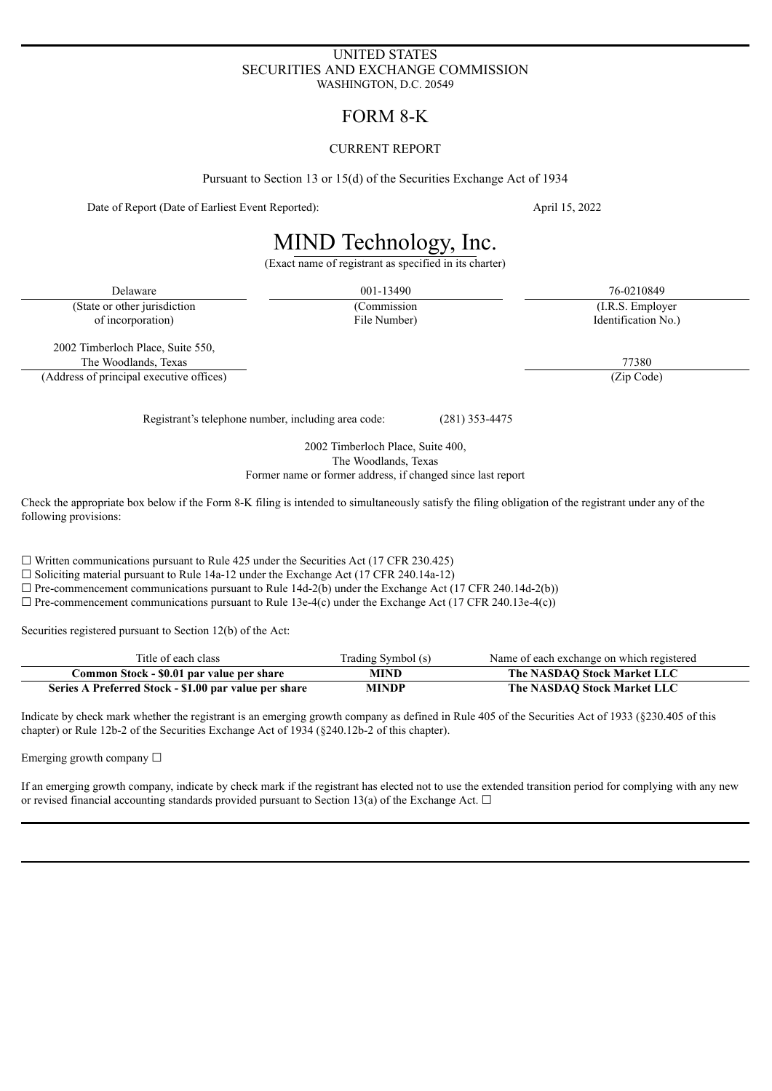# UNITED STATES SECURITIES AND EXCHANGE COMMISSION WASHINGTON, D.C. 20549

# FORM 8-K

# CURRENT REPORT

Pursuant to Section 13 or 15(d) of the Securities Exchange Act of 1934

Date of Report (Date of Earliest Event Reported): April 15, 2022

# MIND Technology, Inc.

(Exact name of registrant as specified in its charter)

(State or other jurisdiction (Commission (Commission (I.R.S. Employer) of incorporation) File Number) Identification No.)

Delaware 26-0210849 26-0210849 26-0210849 26-0210849 26-0210849

2002 Timberloch Place, Suite 550, The Woodlands, Texas 77380

(Address of principal executive offices) (Zip Code)

Registrant's telephone number, including area code: (281) 353-4475

2002 Timberloch Place, Suite 400, The Woodlands, Texas Former name or former address, if changed since last report

Check the appropriate box below if the Form 8-K filing is intended to simultaneously satisfy the filing obligation of the registrant under any of the following provisions:

 $\Box$  Written communications pursuant to Rule 425 under the Securities Act (17 CFR 230.425)

 $\Box$  Soliciting material pursuant to Rule 14a-12 under the Exchange Act (17 CFR 240.14a-12)

 $\Box$  Pre-commencement communications pursuant to Rule 14d-2(b) under the Exchange Act (17 CFR 240.14d-2(b))

 $\Box$  Pre-commencement communications pursuant to Rule 13e-4(c) under the Exchange Act (17 CFR 240.13e-4(c))

Securities registered pursuant to Section 12(b) of the Act:

| Title of each class                                   | Trading Symbol (s) | Name of each exchange on which registered |
|-------------------------------------------------------|--------------------|-------------------------------------------|
| Common Stock - \$0.01 par value per share             | MIND               | The NASDAO Stock Market LLC               |
| Series A Preferred Stock - \$1.00 par value per share | MINDP              | The NASDAO Stock Market LLC               |

Indicate by check mark whether the registrant is an emerging growth company as defined in Rule 405 of the Securities Act of 1933 (§230.405 of this chapter) or Rule 12b-2 of the Securities Exchange Act of 1934 (§240.12b-2 of this chapter).

Emerging growth company  $\Box$ 

If an emerging growth company, indicate by check mark if the registrant has elected not to use the extended transition period for complying with any new or revised financial accounting standards provided pursuant to Section 13(a) of the Exchange Act.  $\Box$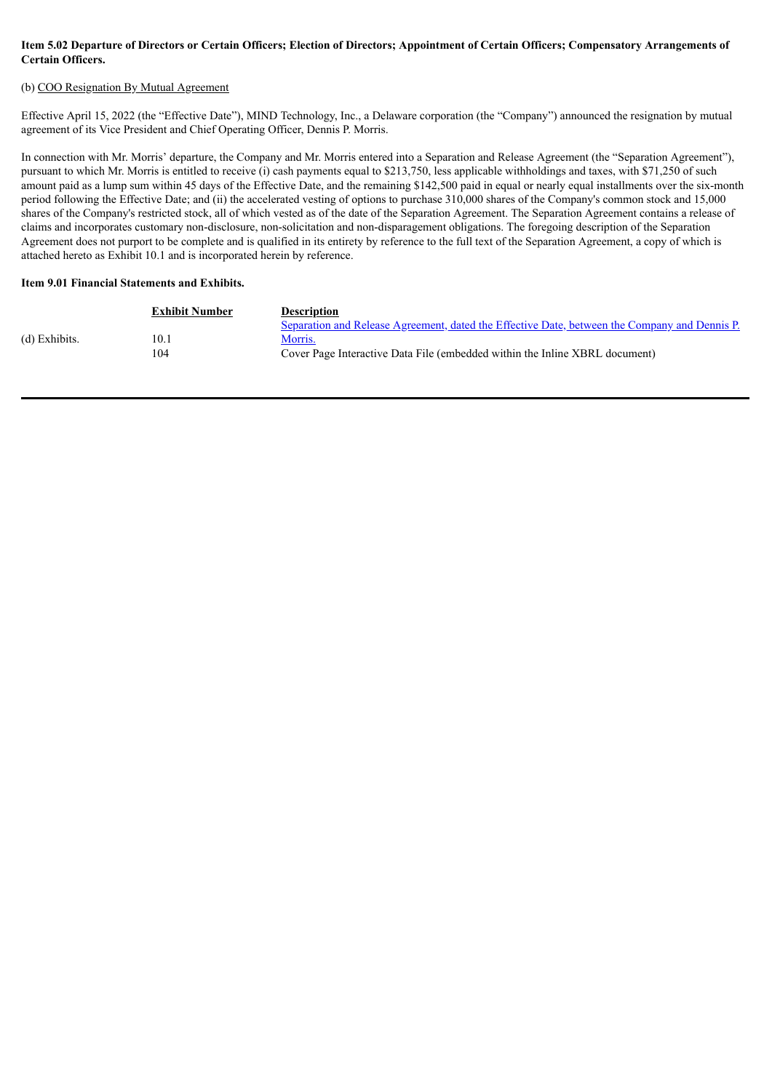# Item 5.02 Departure of Directors or Certain Officers; Election of Directors; Appointment of Certain Officers; Compensatory Arrangements of **Certain Officers.**

# (b) COO Resignation By Mutual Agreement

Effective April 15, 2022 (the "Effective Date"), MIND Technology, Inc., a Delaware corporation (the "Company") announced the resignation by mutual agreement of its Vice President and Chief Operating Officer, Dennis P. Morris.

In connection with Mr. Morris' departure, the Company and Mr. Morris entered into a Separation and Release Agreement (the "Separation Agreement"), pursuant to which Mr. Morris is entitled to receive (i) cash payments equal to \$213,750, less applicable withholdings and taxes, with \$71,250 of such amount paid as a lump sum within 45 days of the Effective Date, and the remaining \$142,500 paid in equal or nearly equal installments over the six-month period following the Effective Date; and (ii) the accelerated vesting of options to purchase 310,000 shares of the Company's common stock and 15,000 shares of the Company's restricted stock, all of which vested as of the date of the Separation Agreement. The Separation Agreement contains a release of claims and incorporates customary non-disclosure, non-solicitation and non-disparagement obligations. The foregoing description of the Separation Agreement does not purport to be complete and is qualified in its entirety by reference to the full text of the Separation Agreement, a copy of which is attached hereto as Exhibit 10.1 and is incorporated herein by reference.

#### **Item 9.01 Financial Statements and Exhibits.**

|               | <b>Exhibit Number</b> | <b>Description</b>                                                                                   |
|---------------|-----------------------|------------------------------------------------------------------------------------------------------|
|               |                       | <u>Separation and Release Agreement, dated the Effective Date, between the Company and Dennis P.</u> |
| (d) Exhibits. | 10.1                  | Morris.                                                                                              |
|               | 104                   | Cover Page Interactive Data File (embedded within the Inline XBRL document)                          |
|               |                       |                                                                                                      |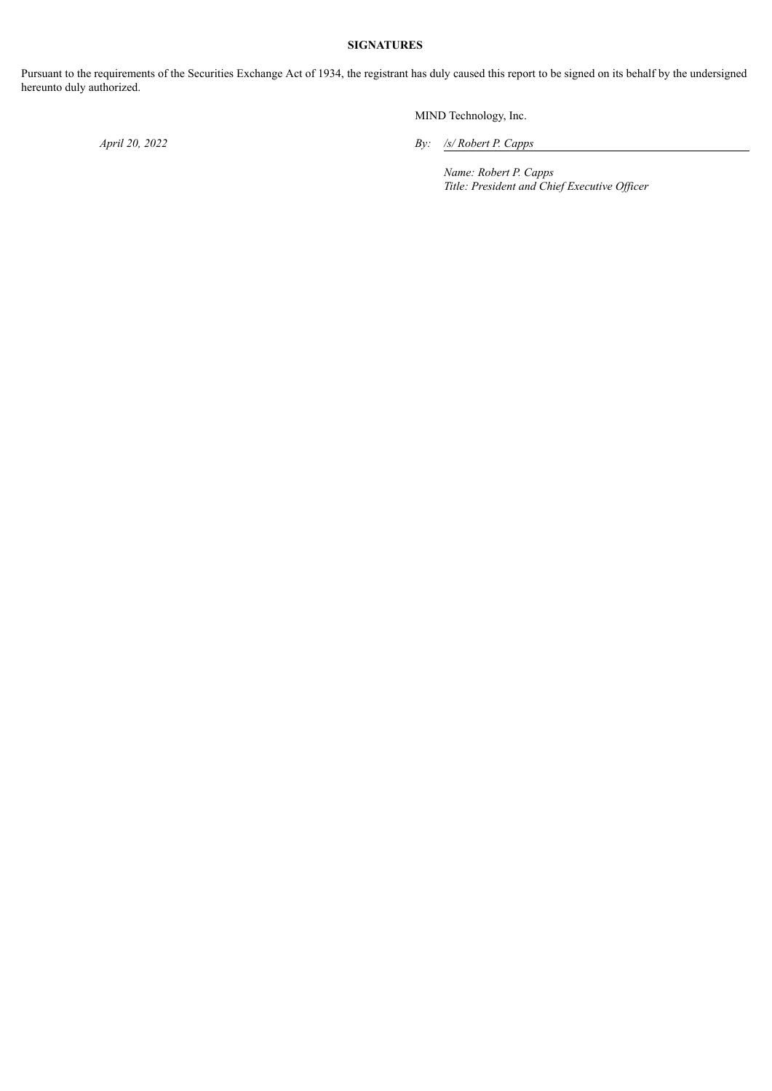# **SIGNATURES**

Pursuant to the requirements of the Securities Exchange Act of 1934, the registrant has duly caused this report to be signed on its behalf by the undersigned hereunto duly authorized.

MIND Technology, Inc.

*April 20, 2022 By: /s/ Robert P. Capps*

*Name: Robert P. Capps Title: President and Chief Executive Of icer*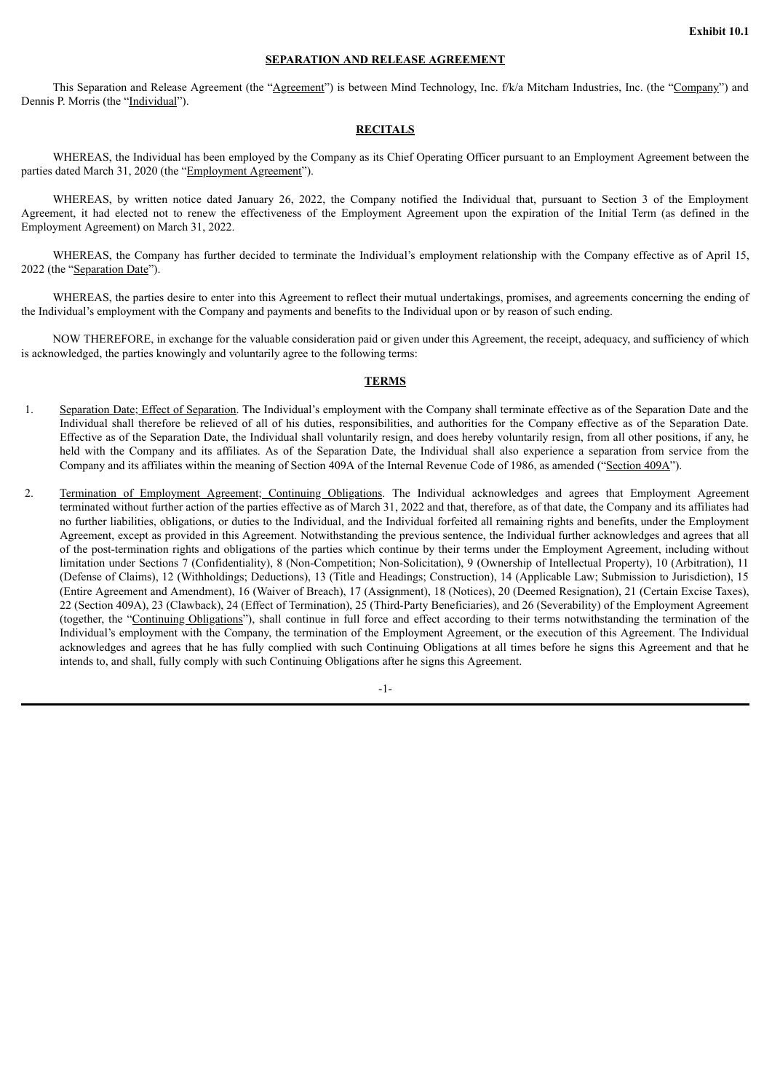#### **SEPARATION AND RELEASE AGREEMENT**

<span id="page-3-0"></span>This Separation and Release Agreement (the "Agreement") is between Mind Technology, Inc. f/k/a Mitcham Industries, Inc. (the "Company") and Dennis P. Morris (the "Individual").

## **RECITALS**

WHEREAS, the Individual has been employed by the Company as its Chief Operating Officer pursuant to an Employment Agreement between the parties dated March 31, 2020 (the "Employment Agreement").

WHEREAS, by written notice dated January 26, 2022, the Company notified the Individual that, pursuant to Section 3 of the Employment Agreement, it had elected not to renew the effectiveness of the Employment Agreement upon the expiration of the Initial Term (as defined in the Employment Agreement) on March 31, 2022.

WHEREAS, the Company has further decided to terminate the Individual's employment relationship with the Company effective as of April 15, 2022 (the "Separation Date").

WHEREAS, the parties desire to enter into this Agreement to reflect their mutual undertakings, promises, and agreements concerning the ending of the Individual's employment with the Company and payments and benefits to the Individual upon or by reason of such ending.

NOW THEREFORE, in exchange for the valuable consideration paid or given under this Agreement, the receipt, adequacy, and sufficiency of which is acknowledged, the parties knowingly and voluntarily agree to the following terms:

# **TERMS**

- 1. Separation Date; Effect of Separation. The Individual's employment with the Company shall terminate effective as of the Separation Date and the Individual shall therefore be relieved of all of his duties, responsibilities, and authorities for the Company effective as of the Separation Date. Effective as of the Separation Date, the Individual shall voluntarily resign, and does hereby voluntarily resign, from all other positions, if any, he held with the Company and its affiliates. As of the Separation Date, the Individual shall also experience a separation from service from the Company and its affiliates within the meaning of Section 409A of the Internal Revenue Code of 1986, as amended ("Section 409A").
- 2. Termination of Employment Agreement; Continuing Obligations. The Individual acknowledges and agrees that Employment Agreement terminated without further action of the parties effective as of March 31, 2022 and that, therefore, as of that date, the Company and its affiliates had no further liabilities, obligations, or duties to the Individual, and the Individual forfeited all remaining rights and benefits, under the Employment Agreement, except as provided in this Agreement. Notwithstanding the previous sentence, the Individual further acknowledges and agrees that all of the post-termination rights and obligations of the parties which continue by their terms under the Employment Agreement, including without limitation under Sections 7 (Confidentiality), 8 (Non-Competition; Non-Solicitation), 9 (Ownership of Intellectual Property), 10 (Arbitration), 11 (Defense of Claims), 12 (Withholdings; Deductions), 13 (Title and Headings; Construction), 14 (Applicable Law; Submission to Jurisdiction), 15 (Entire Agreement and Amendment), 16 (Waiver of Breach), 17 (Assignment), 18 (Notices), 20 (Deemed Resignation), 21 (Certain Excise Taxes), 22 (Section 409A), 23 (Clawback), 24 (Effect of Termination), 25 (Third-Party Beneficiaries), and 26 (Severability) of the Employment Agreement (together, the "Continuing Obligations"), shall continue in full force and effect according to their terms notwithstanding the termination of the Individual's employment with the Company, the termination of the Employment Agreement, or the execution of this Agreement. The Individual acknowledges and agrees that he has fully complied with such Continuing Obligations at all times before he signs this Agreement and that he intends to, and shall, fully comply with such Continuing Obligations after he signs this Agreement.

-1-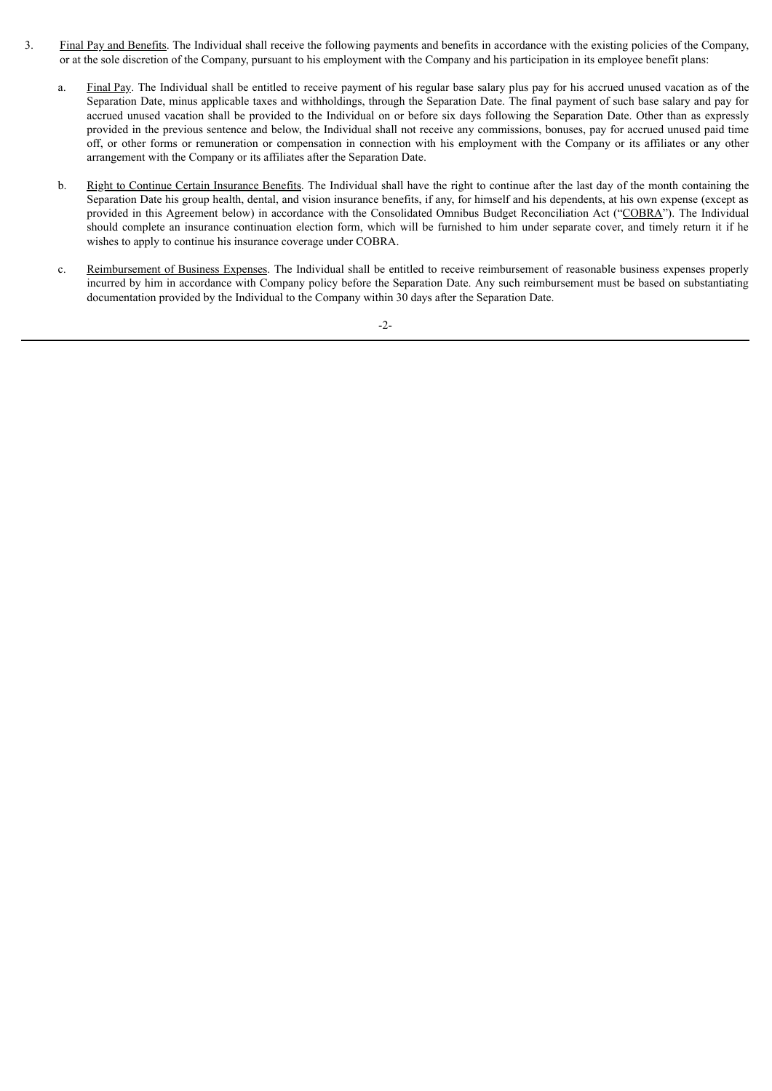- 3. Final Pay and Benefits. The Individual shall receive the following payments and benefits in accordance with the existing policies of the Company, or at the sole discretion of the Company, pursuant to his employment with the Company and his participation in its employee benefit plans:
	- a. Final Pay. The Individual shall be entitled to receive payment of his regular base salary plus pay for his accrued unused vacation as of the Separation Date, minus applicable taxes and withholdings, through the Separation Date. The final payment of such base salary and pay for accrued unused vacation shall be provided to the Individual on or before six days following the Separation Date. Other than as expressly provided in the previous sentence and below, the Individual shall not receive any commissions, bonuses, pay for accrued unused paid time off, or other forms or remuneration or compensation in connection with his employment with the Company or its affiliates or any other arrangement with the Company or its affiliates after the Separation Date.
	- b. Right to Continue Certain Insurance Benefits. The Individual shall have the right to continue after the last day of the month containing the Separation Date his group health, dental, and vision insurance benefits, if any, for himself and his dependents, at his own expense (except as provided in this Agreement below) in accordance with the Consolidated Omnibus Budget Reconciliation Act ("COBRA"). The Individual should complete an insurance continuation election form, which will be furnished to him under separate cover, and timely return it if he wishes to apply to continue his insurance coverage under COBRA.
	- c. Reimbursement of Business Expenses. The Individual shall be entitled to receive reimbursement of reasonable business expenses properly incurred by him in accordance with Company policy before the Separation Date. Any such reimbursement must be based on substantiating documentation provided by the Individual to the Company within 30 days after the Separation Date.

-2-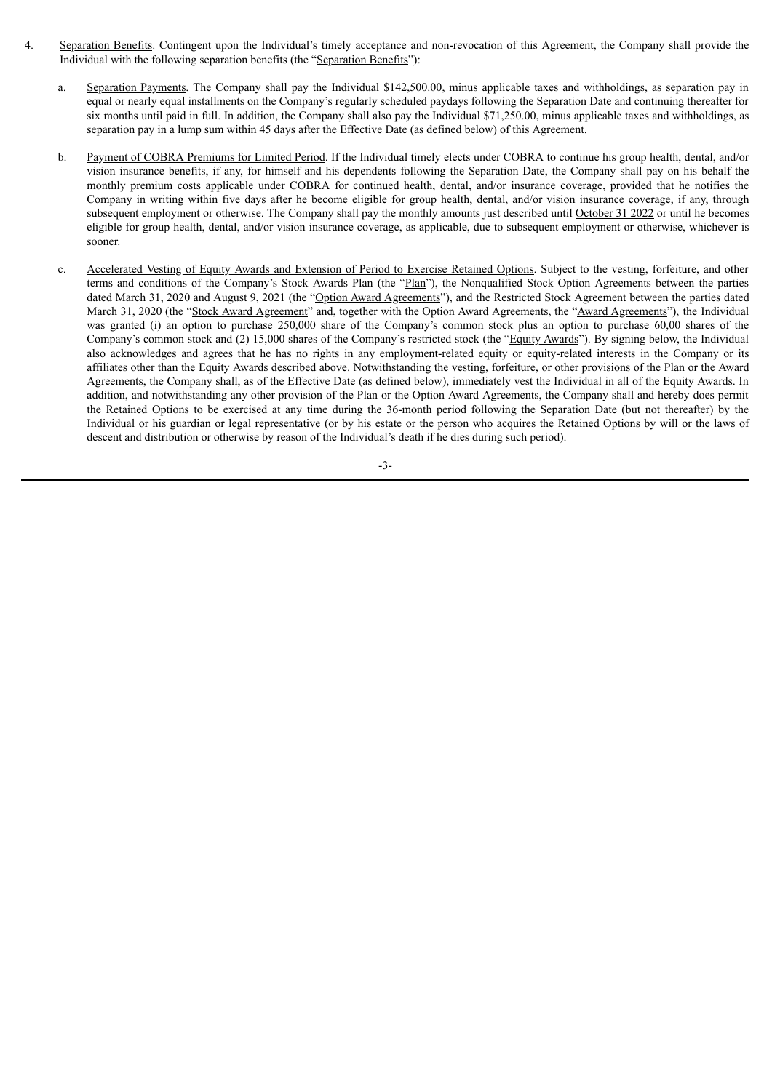- 4. Separation Benefits. Contingent upon the Individual's timely acceptance and non-revocation of this Agreement, the Company shall provide the Individual with the following separation benefits (the "Separation Benefits"):
	- a. Separation Payments. The Company shall pay the Individual \$142,500.00, minus applicable taxes and withholdings, as separation pay in equal or nearly equal installments on the Company's regularly scheduled paydays following the Separation Date and continuing thereafter for six months until paid in full. In addition, the Company shall also pay the Individual \$71,250.00, minus applicable taxes and withholdings, as separation pay in a lump sum within 45 days after the Effective Date (as defined below) of this Agreement.
	- b. Payment of COBRA Premiums for Limited Period. If the Individual timely elects under COBRA to continue his group health, dental, and/or vision insurance benefits, if any, for himself and his dependents following the Separation Date, the Company shall pay on his behalf the monthly premium costs applicable under COBRA for continued health, dental, and/or insurance coverage, provided that he notifies the Company in writing within five days after he become eligible for group health, dental, and/or vision insurance coverage, if any, through subsequent employment or otherwise. The Company shall pay the monthly amounts just described until October 31 2022 or until he becomes eligible for group health, dental, and/or vision insurance coverage, as applicable, due to subsequent employment or otherwise, whichever is sooner.
	- c. Accelerated Vesting of Equity Awards and Extension of Period to Exercise Retained Options. Subject to the vesting, forfeiture, and other terms and conditions of the Company's Stock Awards Plan (the "Plan"), the Nonqualified Stock Option Agreements between the parties dated March 31, 2020 and August 9, 2021 (the "Option Award Agreements"), and the Restricted Stock Agreement between the parties dated March 31, 2020 (the "Stock Award Agreement" and, together with the Option Award Agreements, the "Award Agreements"), the Individual was granted (i) an option to purchase 250,000 share of the Company's common stock plus an option to purchase 60,00 shares of the Company's common stock and (2) 15,000 shares of the Company's restricted stock (the "Equity Awards"). By signing below, the Individual also acknowledges and agrees that he has no rights in any employment-related equity or equity-related interests in the Company or its affiliates other than the Equity Awards described above. Notwithstanding the vesting, forfeiture, or other provisions of the Plan or the Award Agreements, the Company shall, as of the Effective Date (as defined below), immediately vest the Individual in all of the Equity Awards. In addition, and notwithstanding any other provision of the Plan or the Option Award Agreements, the Company shall and hereby does permit the Retained Options to be exercised at any time during the 36-month period following the Separation Date (but not thereafter) by the Individual or his guardian or legal representative (or by his estate or the person who acquires the Retained Options by will or the laws of descent and distribution or otherwise by reason of the Individual's death if he dies during such period).

-3-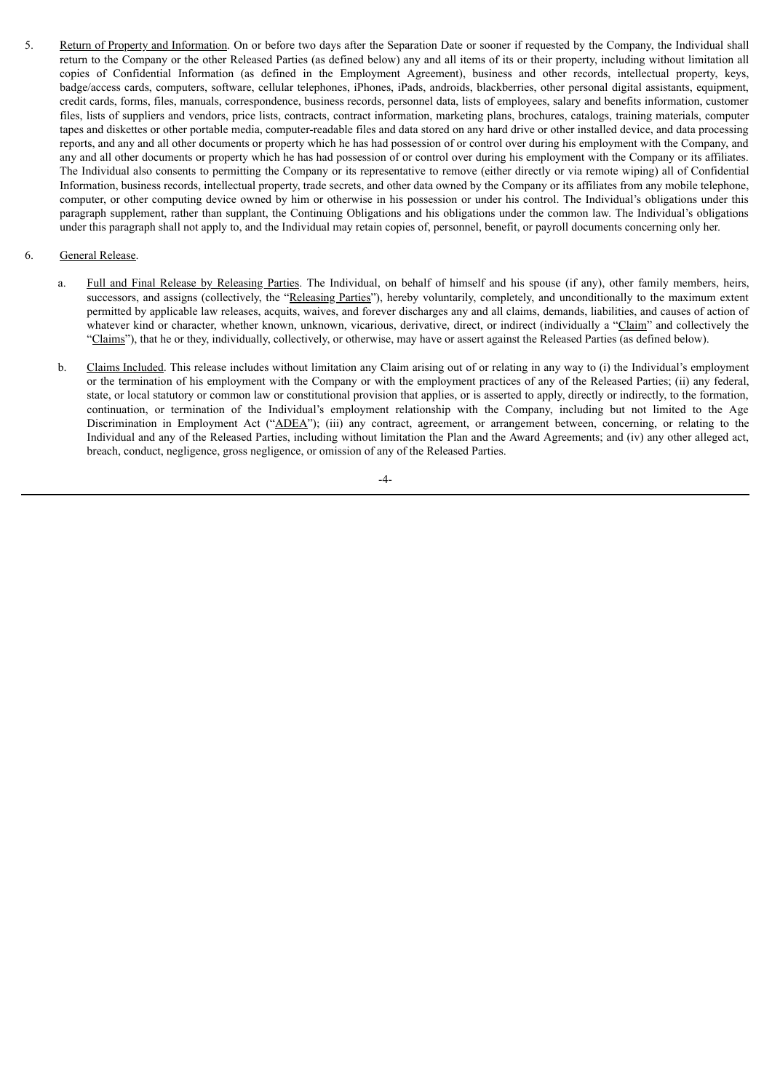5. Return of Property and Information. On or before two days after the Separation Date or sooner if requested by the Company, the Individual shall return to the Company or the other Released Parties (as defined below) any and all items of its or their property, including without limitation all copies of Confidential Information (as defined in the Employment Agreement), business and other records, intellectual property, keys, badge/access cards, computers, software, cellular telephones, iPhones, iPads, androids, blackberries, other personal digital assistants, equipment, credit cards, forms, files, manuals, correspondence, business records, personnel data, lists of employees, salary and benefits information, customer files, lists of suppliers and vendors, price lists, contracts, contract information, marketing plans, brochures, catalogs, training materials, computer tapes and diskettes or other portable media, computer-readable files and data stored on any hard drive or other installed device, and data processing reports, and any and all other documents or property which he has had possession of or control over during his employment with the Company, and any and all other documents or property which he has had possession of or control over during his employment with the Company or its affiliates. The Individual also consents to permitting the Company or its representative to remove (either directly or via remote wiping) all of Confidential Information, business records, intellectual property, trade secrets, and other data owned by the Company or its affiliates from any mobile telephone, computer, or other computing device owned by him or otherwise in his possession or under his control. The Individual's obligations under this paragraph supplement, rather than supplant, the Continuing Obligations and his obligations under the common law. The Individual's obligations under this paragraph shall not apply to, and the Individual may retain copies of, personnel, benefit, or payroll documents concerning only her.

# 6. General Release.

- a. Full and Final Release by Releasing Parties. The Individual, on behalf of himself and his spouse (if any), other family members, heirs, successors, and assigns (collectively, the "Releasing Parties"), hereby voluntarily, completely, and unconditionally to the maximum extent permitted by applicable law releases, acquits, waives, and forever discharges any and all claims, demands, liabilities, and causes of action of whatever kind or character, whether known, unknown, vicarious, derivative, direct, or indirect (individually a "Claim" and collectively the "Claims"), that he or they, individually, collectively, or otherwise, may have or assert against the Released Parties (as defined below).
- b. Claims Included. This release includes without limitation any Claim arising out of or relating in any way to (i) the Individual's employment or the termination of his employment with the Company or with the employment practices of any of the Released Parties; (ii) any federal, state, or local statutory or common law or constitutional provision that applies, or is asserted to apply, directly or indirectly, to the formation, continuation, or termination of the Individual's employment relationship with the Company, including but not limited to the Age Discrimination in Employment Act ("ADEA"); (iii) any contract, agreement, or arrangement between, concerning, or relating to the Individual and any of the Released Parties, including without limitation the Plan and the Award Agreements; and (iv) any other alleged act, breach, conduct, negligence, gross negligence, or omission of any of the Released Parties.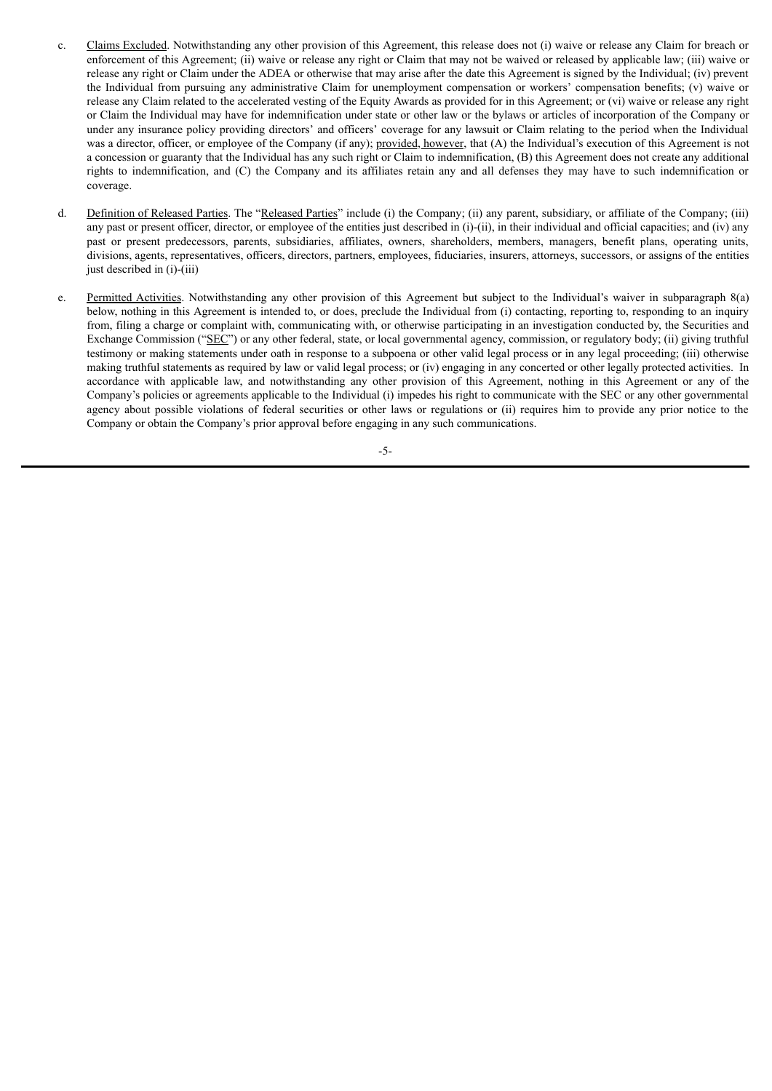- c. Claims Excluded. Notwithstanding any other provision of this Agreement, this release does not (i) waive or release any Claim for breach or enforcement of this Agreement; (ii) waive or release any right or Claim that may not be waived or released by applicable law; (iii) waive or release any right or Claim under the ADEA or otherwise that may arise after the date this Agreement is signed by the Individual; (iv) prevent the Individual from pursuing any administrative Claim for unemployment compensation or workers' compensation benefits; (v) waive or release any Claim related to the accelerated vesting of the Equity Awards as provided for in this Agreement; or (vi) waive or release any right or Claim the Individual may have for indemnification under state or other law or the bylaws or articles of incorporation of the Company or under any insurance policy providing directors' and officers' coverage for any lawsuit or Claim relating to the period when the Individual was a director, officer, or employee of the Company (if any); provided, however, that (A) the Individual's execution of this Agreement is not a concession or guaranty that the Individual has any such right or Claim to indemnification, (B) this Agreement does not create any additional rights to indemnification, and (C) the Company and its affiliates retain any and all defenses they may have to such indemnification or coverage.
- d. Definition of Released Parties. The "Released Parties" include (i) the Company; (ii) any parent, subsidiary, or affiliate of the Company; (iii) any past or present officer, director, or employee of the entities just described in (i)-(ii), in their individual and official capacities; and (iv) any past or present predecessors, parents, subsidiaries, affiliates, owners, shareholders, members, managers, benefit plans, operating units, divisions, agents, representatives, officers, directors, partners, employees, fiduciaries, insurers, attorneys, successors, or assigns of the entities just described in (i)-(iii)
- e. Permitted Activities. Notwithstanding any other provision of this Agreement but subject to the Individual's waiver in subparagraph 8(a) below, nothing in this Agreement is intended to, or does, preclude the Individual from (i) contacting, reporting to, responding to an inquiry from, filing a charge or complaint with, communicating with, or otherwise participating in an investigation conducted by, the Securities and Exchange Commission ("SEC") or any other federal, state, or local governmental agency, commission, or regulatory body; (ii) giving truthful testimony or making statements under oath in response to a subpoena or other valid legal process or in any legal proceeding; (iii) otherwise making truthful statements as required by law or valid legal process; or (iv) engaging in any concerted or other legally protected activities. In accordance with applicable law, and notwithstanding any other provision of this Agreement, nothing in this Agreement or any of the Company's policies or agreements applicable to the Individual (i) impedes his right to communicate with the SEC or any other governmental agency about possible violations of federal securities or other laws or regulations or (ii) requires him to provide any prior notice to the Company or obtain the Company's prior approval before engaging in any such communications.

-5-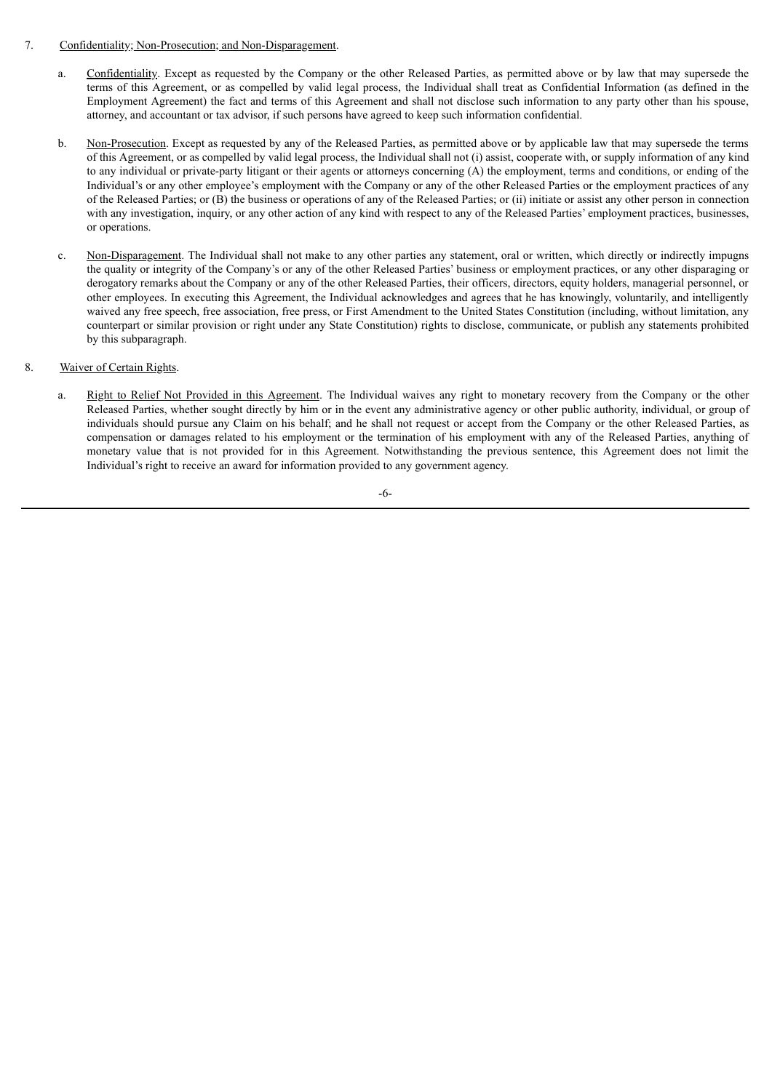- 7. Confidentiality; Non-Prosecution; and Non-Disparagement.
	- a. Confidentiality. Except as requested by the Company or the other Released Parties, as permitted above or by law that may supersede the terms of this Agreement, or as compelled by valid legal process, the Individual shall treat as Confidential Information (as defined in the Employment Agreement) the fact and terms of this Agreement and shall not disclose such information to any party other than his spouse, attorney, and accountant or tax advisor, if such persons have agreed to keep such information confidential.
	- b. Non-Prosecution. Except as requested by any of the Released Parties, as permitted above or by applicable law that may supersede the terms of this Agreement, or as compelled by valid legal process, the Individual shall not (i) assist, cooperate with, or supply information of any kind to any individual or private-party litigant or their agents or attorneys concerning (A) the employment, terms and conditions, or ending of the Individual's or any other employee's employment with the Company or any of the other Released Parties or the employment practices of any of the Released Parties; or (B) the business or operations of any of the Released Parties; or (ii) initiate or assist any other person in connection with any investigation, inquiry, or any other action of any kind with respect to any of the Released Parties' employment practices, businesses, or operations.
	- c. Non-Disparagement. The Individual shall not make to any other parties any statement, oral or written, which directly or indirectly impugns the quality or integrity of the Company's or any of the other Released Parties' business or employment practices, or any other disparaging or derogatory remarks about the Company or any of the other Released Parties, their officers, directors, equity holders, managerial personnel, or other employees. In executing this Agreement, the Individual acknowledges and agrees that he has knowingly, voluntarily, and intelligently waived any free speech, free association, free press, or First Amendment to the United States Constitution (including, without limitation, any counterpart or similar provision or right under any State Constitution) rights to disclose, communicate, or publish any statements prohibited by this subparagraph.
- 8. Waiver of Certain Rights.
	- a. Right to Relief Not Provided in this Agreement. The Individual waives any right to monetary recovery from the Company or the other Released Parties, whether sought directly by him or in the event any administrative agency or other public authority, individual, or group of individuals should pursue any Claim on his behalf; and he shall not request or accept from the Company or the other Released Parties, as compensation or damages related to his employment or the termination of his employment with any of the Released Parties, anything of monetary value that is not provided for in this Agreement. Notwithstanding the previous sentence, this Agreement does not limit the Individual's right to receive an award for information provided to any government agency.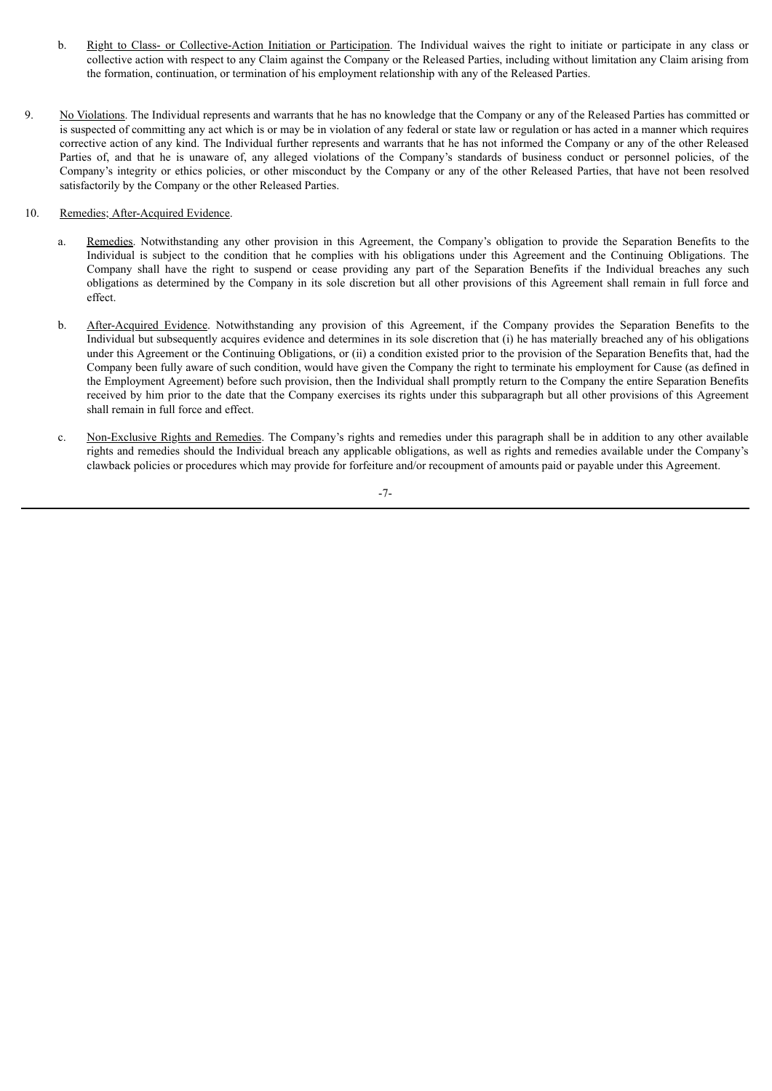- b. Right to Class- or Collective-Action Initiation or Participation. The Individual waives the right to initiate or participate in any class or collective action with respect to any Claim against the Company or the Released Parties, including without limitation any Claim arising from the formation, continuation, or termination of his employment relationship with any of the Released Parties.
- 9. No Violations. The Individual represents and warrants that he has no knowledge that the Company or any of the Released Parties has committed or is suspected of committing any act which is or may be in violation of any federal or state law or regulation or has acted in a manner which requires corrective action of any kind. The Individual further represents and warrants that he has not informed the Company or any of the other Released Parties of, and that he is unaware of, any alleged violations of the Company's standards of business conduct or personnel policies, of the Company's integrity or ethics policies, or other misconduct by the Company or any of the other Released Parties, that have not been resolved satisfactorily by the Company or the other Released Parties.
- 10. Remedies; After-Acquired Evidence.
	- a. Remedies. Notwithstanding any other provision in this Agreement, the Company's obligation to provide the Separation Benefits to the Individual is subject to the condition that he complies with his obligations under this Agreement and the Continuing Obligations. The Company shall have the right to suspend or cease providing any part of the Separation Benefits if the Individual breaches any such obligations as determined by the Company in its sole discretion but all other provisions of this Agreement shall remain in full force and effect.
	- b. After-Acquired Evidence. Notwithstanding any provision of this Agreement, if the Company provides the Separation Benefits to the Individual but subsequently acquires evidence and determines in its sole discretion that (i) he has materially breached any of his obligations under this Agreement or the Continuing Obligations, or (ii) a condition existed prior to the provision of the Separation Benefits that, had the Company been fully aware of such condition, would have given the Company the right to terminate his employment for Cause (as defined in the Employment Agreement) before such provision, then the Individual shall promptly return to the Company the entire Separation Benefits received by him prior to the date that the Company exercises its rights under this subparagraph but all other provisions of this Agreement shall remain in full force and effect.
	- c. Non-Exclusive Rights and Remedies. The Company's rights and remedies under this paragraph shall be in addition to any other available rights and remedies should the Individual breach any applicable obligations, as well as rights and remedies available under the Company's clawback policies or procedures which may provide for forfeiture and/or recoupment of amounts paid or payable under this Agreement.

-7-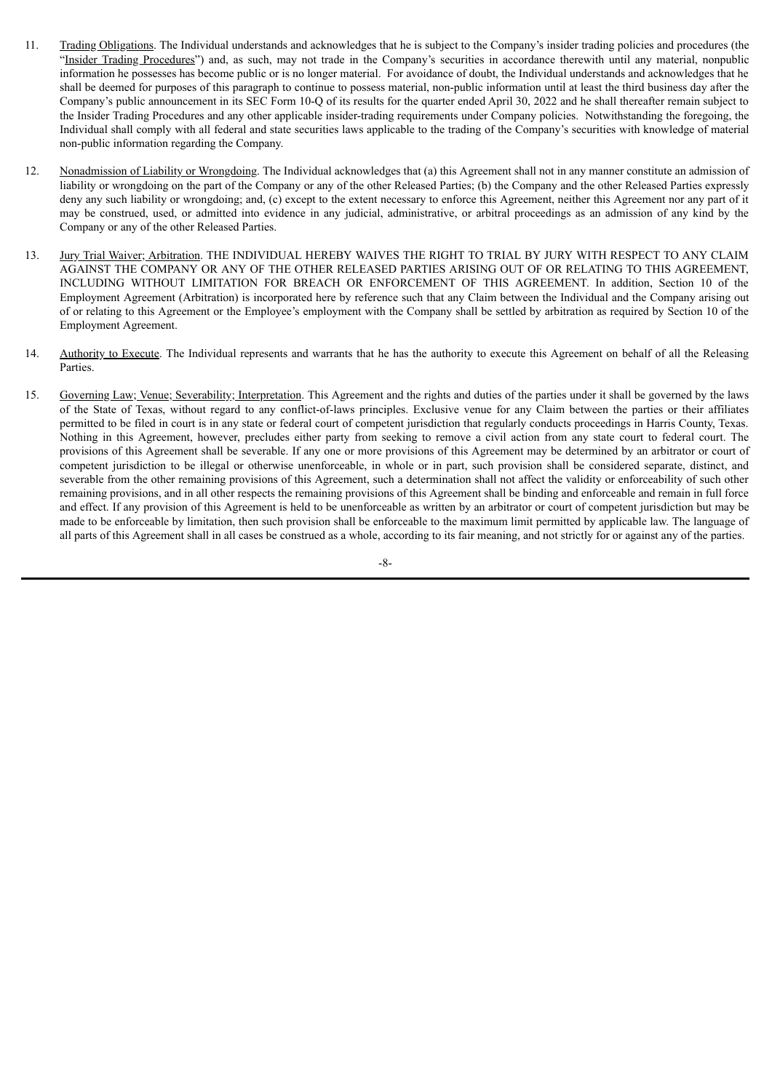- 11. Trading Obligations. The Individual understands and acknowledges that he is subject to the Company's insider trading policies and procedures (the "Insider Trading Procedures") and, as such, may not trade in the Company's securities in accordance therewith until any material, nonpublic information he possesses has become public or is no longer material. For avoidance of doubt, the Individual understands and acknowledges that he shall be deemed for purposes of this paragraph to continue to possess material, non-public information until at least the third business day after the Company's public announcement in its SEC Form 10-Q of its results for the quarter ended April 30, 2022 and he shall thereafter remain subject to the Insider Trading Procedures and any other applicable insider-trading requirements under Company policies. Notwithstanding the foregoing, the Individual shall comply with all federal and state securities laws applicable to the trading of the Company's securities with knowledge of material non-public information regarding the Company.
- 12. Nonadmission of Liability or Wrongdoing. The Individual acknowledges that (a) this Agreement shall not in any manner constitute an admission of liability or wrongdoing on the part of the Company or any of the other Released Parties; (b) the Company and the other Released Parties expressly deny any such liability or wrongdoing; and, (c) except to the extent necessary to enforce this Agreement, neither this Agreement nor any part of it may be construed, used, or admitted into evidence in any judicial, administrative, or arbitral proceedings as an admission of any kind by the Company or any of the other Released Parties.
- 13. Jury Trial Waiver; Arbitration. THE INDIVIDUAL HEREBY WAIVES THE RIGHT TO TRIAL BY JURY WITH RESPECT TO ANY CLAIM AGAINST THE COMPANY OR ANY OF THE OTHER RELEASED PARTIES ARISING OUT OF OR RELATING TO THIS AGREEMENT, INCLUDING WITHOUT LIMITATION FOR BREACH OR ENFORCEMENT OF THIS AGREEMENT. In addition, Section 10 of the Employment Agreement (Arbitration) is incorporated here by reference such that any Claim between the Individual and the Company arising out of or relating to this Agreement or the Employee's employment with the Company shall be settled by arbitration as required by Section 10 of the Employment Agreement.
- 14. Authority to Execute. The Individual represents and warrants that he has the authority to execute this Agreement on behalf of all the Releasing Parties.
- 15. Governing Law; Venue; Severability; Interpretation. This Agreement and the rights and duties of the parties under it shall be governed by the laws of the State of Texas, without regard to any conflict-of-laws principles. Exclusive venue for any Claim between the parties or their affiliates permitted to be filed in court is in any state or federal court of competent jurisdiction that regularly conducts proceedings in Harris County, Texas. Nothing in this Agreement, however, precludes either party from seeking to remove a civil action from any state court to federal court. The provisions of this Agreement shall be severable. If any one or more provisions of this Agreement may be determined by an arbitrator or court of competent jurisdiction to be illegal or otherwise unenforceable, in whole or in part, such provision shall be considered separate, distinct, and severable from the other remaining provisions of this Agreement, such a determination shall not affect the validity or enforceability of such other remaining provisions, and in all other respects the remaining provisions of this Agreement shall be binding and enforceable and remain in full force and effect. If any provision of this Agreement is held to be unenforceable as written by an arbitrator or court of competent jurisdiction but may be made to be enforceable by limitation, then such provision shall be enforceable to the maximum limit permitted by applicable law. The language of all parts of this Agreement shall in all cases be construed as a whole, according to its fair meaning, and not strictly for or against any of the parties.

-8-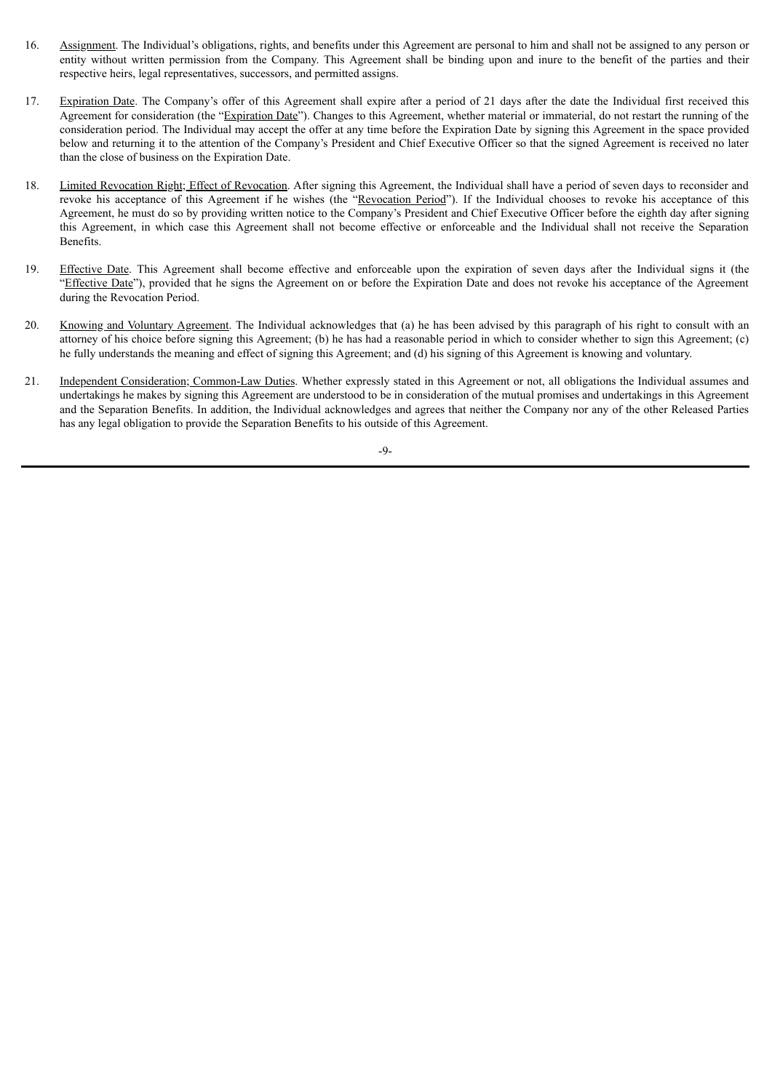- 16. Assignment. The Individual's obligations, rights, and benefits under this Agreement are personal to him and shall not be assigned to any person or entity without written permission from the Company. This Agreement shall be binding upon and inure to the benefit of the parties and their respective heirs, legal representatives, successors, and permitted assigns.
- 17. Expiration Date. The Company's offer of this Agreement shall expire after a period of 21 days after the date the Individual first received this Agreement for consideration (the "Expiration Date"). Changes to this Agreement, whether material or immaterial, do not restart the running of the consideration period. The Individual may accept the offer at any time before the Expiration Date by signing this Agreement in the space provided below and returning it to the attention of the Company's President and Chief Executive Officer so that the signed Agreement is received no later than the close of business on the Expiration Date.
- 18. Limited Revocation Right; Effect of Revocation. After signing this Agreement, the Individual shall have a period of seven days to reconsider and revoke his acceptance of this Agreement if he wishes (the "Revocation Period"). If the Individual chooses to revoke his acceptance of this Agreement, he must do so by providing written notice to the Company's President and Chief Executive Officer before the eighth day after signing this Agreement, in which case this Agreement shall not become effective or enforceable and the Individual shall not receive the Separation Benefits.
- 19. Effective Date. This Agreement shall become effective and enforceable upon the expiration of seven days after the Individual signs it (the "Effective Date"), provided that he signs the Agreement on or before the Expiration Date and does not revoke his acceptance of the Agreement during the Revocation Period.
- 20. Knowing and Voluntary Agreement. The Individual acknowledges that (a) he has been advised by this paragraph of his right to consult with an attorney of his choice before signing this Agreement; (b) he has had a reasonable period in which to consider whether to sign this Agreement; (c) he fully understands the meaning and effect of signing this Agreement; and (d) his signing of this Agreement is knowing and voluntary.
- 21. Independent Consideration; Common-Law Duties. Whether expressly stated in this Agreement or not, all obligations the Individual assumes and undertakings he makes by signing this Agreement are understood to be in consideration of the mutual promises and undertakings in this Agreement and the Separation Benefits. In addition, the Individual acknowledges and agrees that neither the Company nor any of the other Released Parties has any legal obligation to provide the Separation Benefits to his outside of this Agreement.

-9-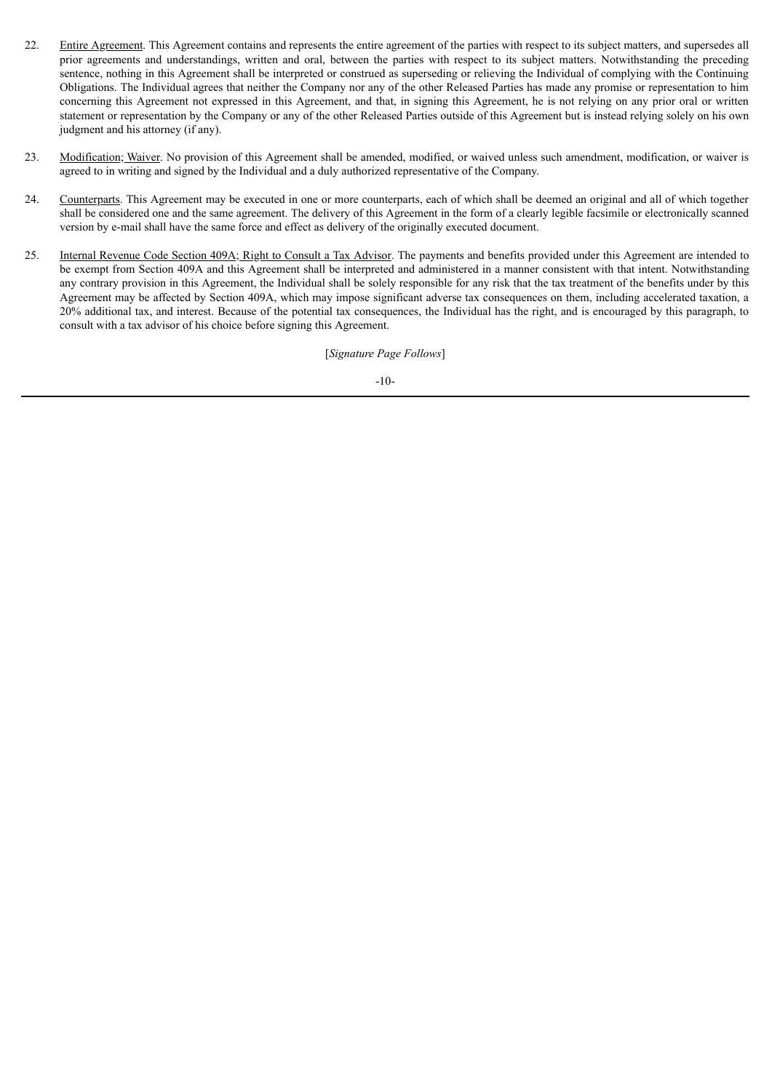- 22. Entire Agreement. This Agreement contains and represents the entire agreement of the parties with respect to its subject matters, and supersedes all prior agreements and understandings, written and oral, between the parties with respect to its subject matters. Notwithstanding the preceding sentence, nothing in this Agreement shall be interpreted or construed as superseding or relieving the Individual of complying with the Continuing Obligations. The Individual agrees that neither the Company nor any of the other Released Parties has made any promise or representation to him concerning this Agreement not expressed in this Agreement, and that, in signing this Agreement, he is not relying on any prior oral or written statement or representation by the Company or any of the other Released Parties outside of this Agreement but is instead relying solely on his own judgment and his attorney (if any).
- 23. Modification; Waiver. No provision of this Agreement shall be amended, modified, or waived unless such amendment, modification, or waiver is agreed to in writing and signed by the Individual and a duly authorized representative of the Company.
- 24. Counterparts. This Agreement may be executed in one or more counterparts, each of which shall be deemed an original and all of which together shall be considered one and the same agreement. The delivery of this Agreement in the form of a clearly legible facsimile or electronically scanned version by e-mail shall have the same force and effect as delivery of the originally executed document.
- 25. Internal Revenue Code Section 409A; Right to Consult a Tax Advisor. The payments and benefits provided under this Agreement are intended to be exempt from Section 409A and this Agreement shall be interpreted and administered in a manner consistent with that intent. Notwithstanding any contrary provision in this Agreement, the Individual shall be solely responsible for any risk that the tax treatment of the benefits under by this Agreement may be affected by Section 409A, which may impose significant adverse tax consequences on them, including accelerated taxation, a 20% additional tax, and interest. Because of the potential tax consequences, the Individual has the right, and is encouraged by this paragraph, to consult with a tax advisor of his choice before signing this Agreement.

[*Signature Page Follows*]

-10-